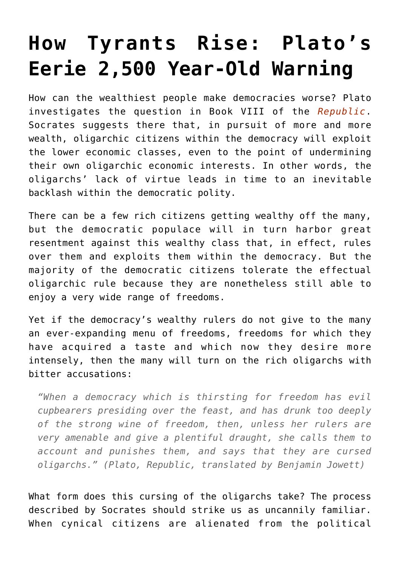## **[How Tyrants Rise: Plato's](https://intellectualtakeout.org/2016/05/how-tyrants-rise-platos-eerie-2500-year-old-warning/) [Eerie 2,500 Year-Old Warning](https://intellectualtakeout.org/2016/05/how-tyrants-rise-platos-eerie-2500-year-old-warning/)**

How can the wealthiest people make democracies worse? Plato investigates the question in Book VIII of the *[Republic](http://astore.amazon.com/theimaginativeconservative-20/detail/1420952846)*. Socrates suggests there that, in pursuit of more and more wealth, oligarchic citizens within the democracy will exploit the lower economic classes, even to the point of undermining their own oligarchic economic interests. In other words, the oligarchs' lack of virtue leads in time to an inevitable backlash within the democratic polity.

There can be a few rich citizens getting wealthy off the many, but the democratic populace will in turn harbor great resentment against this wealthy class that, in effect, rules over them and exploits them within the democracy. But the majority of the democratic citizens tolerate the effectual oligarchic rule because they are nonetheless still able to enjoy a very wide range of freedoms.

Yet if the democracy's wealthy rulers do not give to the many an ever-expanding menu of freedoms, freedoms for which they have acquired a taste and which now they desire more intensely, then the many will turn on the rich oligarchs with bitter accusations:

*"When a democracy which is thirsting for freedom has evil cupbearers presiding over the feast, and has drunk too deeply of the strong wine of freedom, then, unless her rulers are very amenable and give a plentiful draught, she calls them to account and punishes them, and says that they are cursed oligarchs." (Plato, Republic, translated by Benjamin Jowett)*

What form does this cursing of the oligarchs take? The process described by Socrates should strike us as uncannily familiar. When cynical citizens are alienated from the political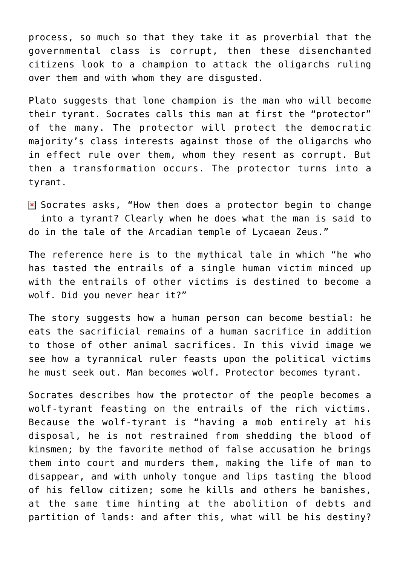process, so much so that they take it as proverbial that the governmental class is corrupt, then these disenchanted citizens look to a champion to attack the oligarchs ruling over them and with whom they are disgusted.

Plato suggests that lone champion is the man who will become their tyrant. Socrates calls this man at first the "protector" of the many. The protector will protect the democratic majority's class interests against those of the oligarchs who in effect rule over them, whom they resent as corrupt. But then a transformation occurs. The protector turns into a tyrant.

 $\overline{\bullet}$  Socrates asks, "How then does a protector begin to change into a tyrant? Clearly when he does what the man is said to do in the tale of the Arcadian temple of Lycaean Zeus."

The reference here is to the mythical tale in which "he who has tasted the entrails of a single human victim minced up with the entrails of other victims is destined to become a wolf. Did you never hear it?"

The story suggests how a human person can become bestial: he eats the sacrificial remains of a human sacrifice in addition to those of other animal sacrifices. In this vivid image we see how a tyrannical ruler feasts upon the political victims he must seek out. Man becomes wolf. Protector becomes tyrant.

Socrates describes how the protector of the people becomes a wolf-tyrant feasting on the entrails of the rich victims. Because the wolf-tyrant is "having a mob entirely at his disposal, he is not restrained from shedding the blood of kinsmen; by the favorite method of false accusation he brings them into court and murders them, making the life of man to disappear, and with unholy tongue and lips tasting the blood of his fellow citizen; some he kills and others he banishes, at the same time hinting at the abolition of debts and partition of lands: and after this, what will be his destiny?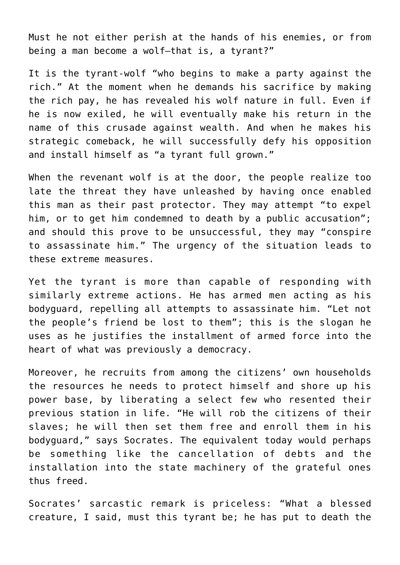Must he not either perish at the hands of his enemies, or from being a man become a wolf—that is, a tyrant?"

It is the tyrant-wolf "who begins to make a party against the rich." At the moment when he demands his sacrifice by making the rich pay, he has revealed his wolf nature in full. Even if he is now exiled, he will eventually make his return in the name of this crusade against wealth. And when he makes his strategic comeback, he will successfully defy his opposition and install himself as "a tyrant full grown."

When the revenant wolf is at the door, the people realize too late the threat they have unleashed by having once enabled this man as their past protector. They may attempt "to expel him, or to get him condemned to death by a public accusation"; and should this prove to be unsuccessful, they may "conspire to assassinate him." The urgency of the situation leads to these extreme measures.

Yet the tyrant is more than capable of responding with similarly extreme actions. He has armed men acting as his bodyguard, repelling all attempts to assassinate him. "Let not the people's friend be lost to them"; this is the slogan he uses as he justifies the installment of armed force into the heart of what was previously a democracy.

Moreover, he recruits from among the citizens' own households the resources he needs to protect himself and shore up his power base, by liberating a select few who resented their previous station in life. "He will rob the citizens of their slaves; he will then set them free and enroll them in his bodyguard," says Socrates. The equivalent today would perhaps be something like the cancellation of debts and the installation into the state machinery of the grateful ones thus freed.

Socrates' sarcastic remark is priceless: "What a blessed creature, I said, must this tyrant be; he has put to death the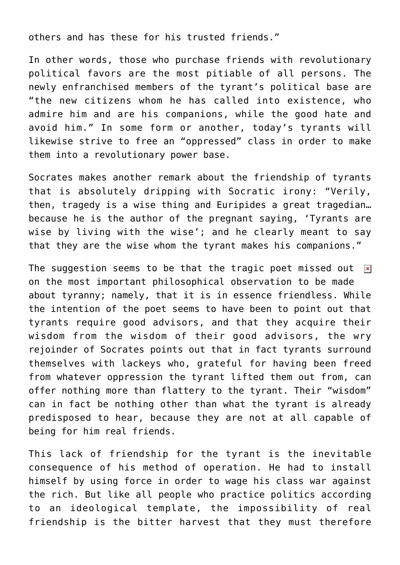others and has these for his trusted friends."

In other words, those who purchase friends with revolutionary political favors are the most pitiable of all persons. The newly enfranchised members of the tyrant's political base are "the new citizens whom he has called into existence, who admire him and are his companions, while the good hate and avoid him." In some form or another, today's tyrants will likewise strive to free an "oppressed" class in order to make them into a revolutionary power base.

Socrates makes another remark about the friendship of tyrants that is absolutely dripping with Socratic irony: "Verily, then, tragedy is a wise thing and Euripides a great tragedian… because he is the author of the pregnant saying, 'Tyrants are wise by living with the wise'; and he clearly meant to say that they are the wise whom the tyrant makes his companions."

The suggestion seems to be that the tragic poet missed out  $\overline{x}$ on the most important philosophical observation to be made about tyranny; namely, that it is in essence friendless. While the intention of the poet seems to have been to point out that tyrants require good advisors, and that they acquire their wisdom from the wisdom of their good advisors, the wry rejoinder of Socrates points out that in fact tyrants surround themselves with lackeys who, grateful for having been freed from whatever oppression the tyrant lifted them out from, can offer nothing more than flattery to the tyrant. Their "wisdom" can in fact be nothing other than what the tyrant is already predisposed to hear, because they are not at all capable of being for him real friends.

This lack of friendship for the tyrant is the inevitable consequence of his method of operation. He had to install himself by using force in order to wage his class war against the rich. But like all people who practice politics according to an ideological template, the impossibility of real friendship is the bitter harvest that they must therefore